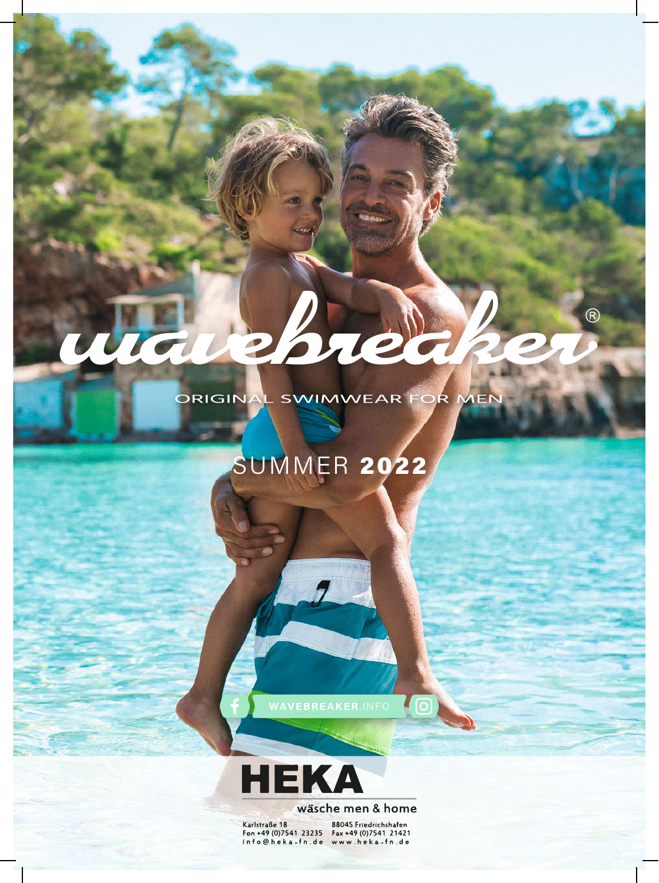ORIGINAL SWIMWEAR FOR MEN

Borela

 $\circledR$ 

## SUMMER 2022

**CO** 



## wäsche men & home

Karlstraße 18

88045 Friedrichshafen For +49 (0) 7541 23235<br>
in f o @ h e k a - f n . d e www.h e k a - f n . d e